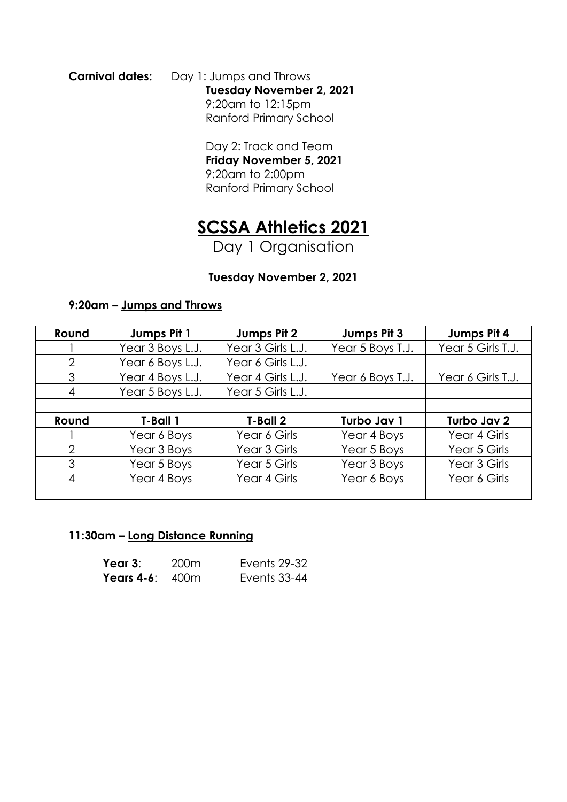**Carnival dates:** Day 1: Jumps and Throws **Tuesday November 2, 2021** 9:20am to 12:15pm Ranford Primary School

> Day 2: Track and Team **Friday November 5, 2021** 9:20am to 2:00pm Ranford Primary School

# **SCSSA Athletics 2021**

Day 1 Organisation

### **Tuesday November 2, 2021**

#### **9:20am – Jumps and Throws**

| Round         | Jumps Pit 1      | Jumps Pit 2       | Jumps Pit 3      | Jumps Pit 4       |
|---------------|------------------|-------------------|------------------|-------------------|
|               | Year 3 Boys L.J. | Year 3 Girls L.J. | Year 5 Boys T.J. | Year 5 Girls T.J. |
| $\mathcal{P}$ | Year 6 Boys L.J. | Year 6 Girls L.J. |                  |                   |
| 3             | Year 4 Boys L.J. | Year 4 Girls L.J. | Year 6 Boys T.J. | Year 6 Girls T.J. |
| 4             | Year 5 Boys L.J. | Year 5 Girls L.J. |                  |                   |
|               |                  |                   |                  |                   |
|               |                  |                   |                  |                   |
| Round         | T-Ball 1         | T-Ball 2          | Turbo Jav 1      | Turbo Jav 2       |
|               | Year 6 Boys      | Year 6 Girls      | Year 4 Boys      | Year 4 Girls      |
| $\mathcal{P}$ | Year 3 Boys      | Year 3 Girls      | Year 5 Boys      | Year 5 Girls      |
| 3             | Year 5 Boys      | Year 5 Girls      | Year 3 Boys      | Year 3 Girls      |
| 4             | Year 4 Boys      | Year 4 Girls      | Year 6 Boys      | Year 6 Girls      |

#### **11:30am – Long Distance Running**

| Year $3$ :               | 200m | Events 29-32 |
|--------------------------|------|--------------|
| <b>Years 4-6:</b> $400m$ |      | Events 33-44 |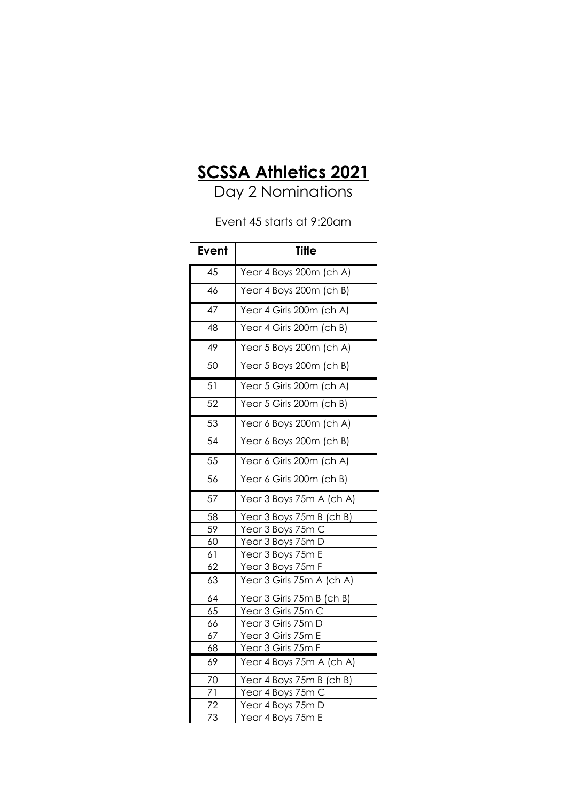## **SCSSA Athletics 2021**

Day 2 Nominations

Event 45 starts at 9:20am

| <b>Event</b>    | <b>Title</b>              |
|-----------------|---------------------------|
| $\overline{45}$ | Year 4 Boys 200m (ch A)   |
| 46              | Year 4 Boys 200m (ch B)   |
| 47              | Year 4 Girls 200m (ch A)  |
| 48              | Year 4 Girls 200m (ch B)  |
| 49              | Year 5 Boys 200m (ch A)   |
| 50              | Year 5 Boys 200m (ch B)   |
| $\overline{51}$ | Year 5 Girls 200m (ch A)  |
| 52              | Year 5 Girls 200m (ch B)  |
| 53              | Year 6 Boys 200m (ch A)   |
| 54              | Year 6 Boys 200m (ch B)   |
| 55              | Year 6 Girls 200m (ch A)  |
| 56              | Year 6 Girls 200m (ch B)  |
| 57              | Year 3 Boys 75m A (ch A)  |
| 58              | Year 3 Boys 75m B (ch B)  |
| 59              | Year 3 Boys 75m C         |
| 60              | Year 3 Boys 75m D         |
| 61              | Year 3 Boys 75m E         |
| 62              | Year 3 Boys 75m F         |
| 63              | Year 3 Girls 75m A (ch A) |
| 64              | Year 3 Girls 75m B (ch B) |
| 65              | Year 3 Girls 75m C        |
| 66              | Year 3 Girls 75m D        |
| 67              | Year 3 Girls 75m E        |
| 68              | Year 3 Girls 75m F        |
| 69              | Year 4 Boys 75m A (ch A)  |
| 70              | Year 4 Boys 75m B (ch B)  |
| 71              | Year 4 Boys 75m C         |
| 72              | Year 4 Boys 75m D         |
| 73              | Year 4 Boys 75m E         |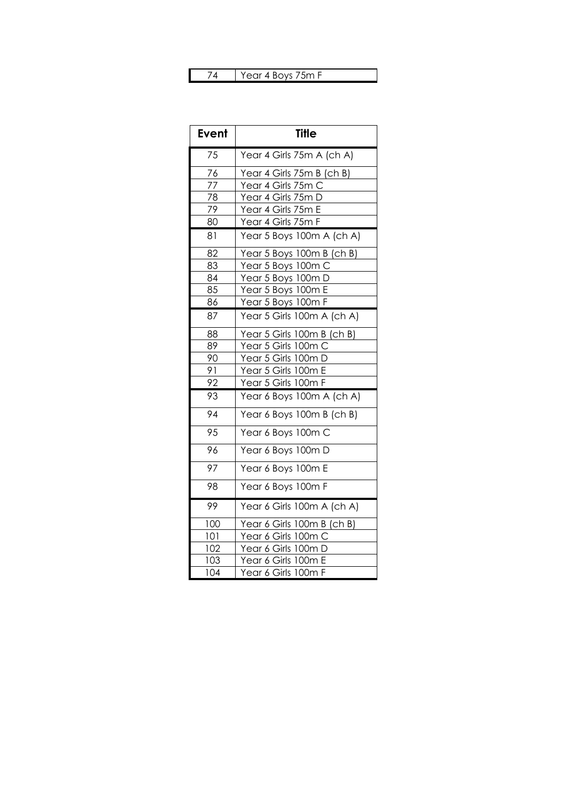#### 74 | Year 4 Boys 75m F

| <b>Event</b>    | <b>Title</b>               |
|-----------------|----------------------------|
| 75              | Year 4 Girls 75m A (ch A)  |
| 76              | Year 4 Girls 75m B (ch B)  |
| 77              | Year 4 Girls 75m C         |
| 78              | Year 4 Girls 75m D         |
| 79              | Year 4 Girls 75m E         |
| 80              | Year 4 Girls 75m F         |
| 81              | Year 5 Boys 100m A (ch A)  |
| 82              | Year 5 Boys 100m B (ch B)  |
| 83              | Year 5 Boys 100m C         |
| 84              | Year 5 Boys 100m D         |
| 85              | Year 5 Boys 100m E         |
| 86              | Year 5 Boys 100m F         |
| 87              | Year 5 Girls 100m A (ch A) |
| 88              | Year 5 Girls 100m B (ch B) |
| 89              | Year 5 Girls 100m C        |
| 90              | Year 5 Girls 100m D        |
| 91              | Year 5 Girls 100m E        |
| 92              | Year 5 Girls 100m F        |
| 93              | Year 6 Boys 100m A (ch A)  |
| 94              | Year 6 Boys 100m B (ch B)  |
| $\overline{95}$ | Year 6 Boys 100m C         |
| 96              | Year 6 Boys 100m D         |
| 97              | Year 6 Boys 100m E         |
| 98              | Year 6 Boys 100m F         |
| 99              | Year 6 Girls 100m A (ch A) |
| 100             | Year 6 Girls 100m B (ch B) |
| 101             | <u>Year 6 Girls 100m C</u> |
| 102             | Year 6 Girls 100m D        |
| 103             | Year 6 Girls 100m E        |
| 104             | Year 6 Girls 100m F        |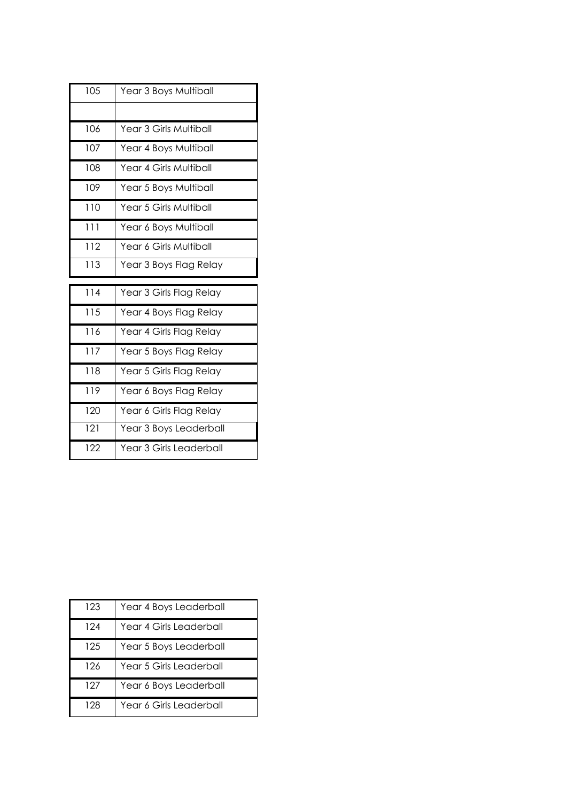| 105 | Year 3 Boys Multiball         |
|-----|-------------------------------|
|     |                               |
|     |                               |
| 106 | Year 3 Girls Multiball        |
| 107 | Year 4 Boys Multiball         |
| 108 | <b>Year 4 Girls Multiball</b> |
| 109 | Year 5 Boys Multiball         |
| 110 | Year 5 Girls Multiball        |
| 111 | Year 6 Boys Multiball         |
| 112 | Year 6 Girls Multiball        |
| 113 | Year 3 Boys Flag Relay        |
|     |                               |
|     |                               |
| 114 | Year 3 Girls Flag Relay       |
| 115 | Year 4 Boys Flag Relay        |
| 116 | Year 4 Girls Flag Relay       |
| 117 | Year 5 Boys Flag Relay        |
| 118 | Year 5 Girls Flag Relay       |
| 119 | Year 6 Boys Flag Relay        |
| 120 | Year 6 Girls Flag Relay       |
| 121 | Year 3 Boys Leaderball        |

| 123 | Year 4 Boys Leaderball  |
|-----|-------------------------|
| 124 | Year 4 Girls Leaderball |
| 125 | Year 5 Boys Leaderball  |
| 126 | Year 5 Girls Leaderball |
| 127 | Year 6 Boys Leaderball  |
| 128 | Year 6 Girls Leaderball |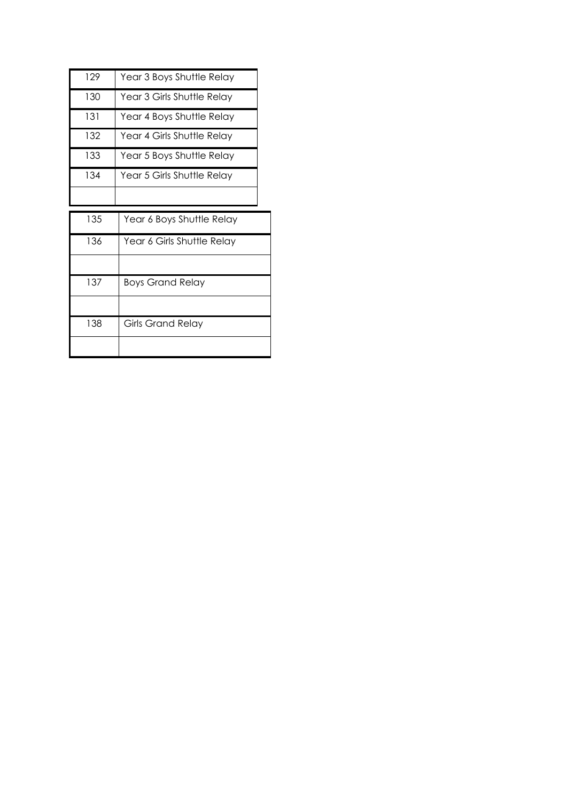| 129 | Year 3 Boys Shuttle Relay  |
|-----|----------------------------|
| 130 | Year 3 Girls Shuttle Relay |
| 131 | Year 4 Boys Shuttle Relay  |
| 132 | Year 4 Girls Shuttle Relay |
| 133 | Year 5 Boys Shuttle Relay  |
| 134 | Year 5 Girls Shuttle Relay |
|     |                            |

| 135 | Year 6 Boys Shuttle Relay  |
|-----|----------------------------|
| 136 | Year 6 Girls Shuttle Relay |
|     |                            |
| 137 | <b>Boys Grand Relay</b>    |
|     |                            |
| 138 | <b>Girls Grand Relay</b>   |
|     |                            |